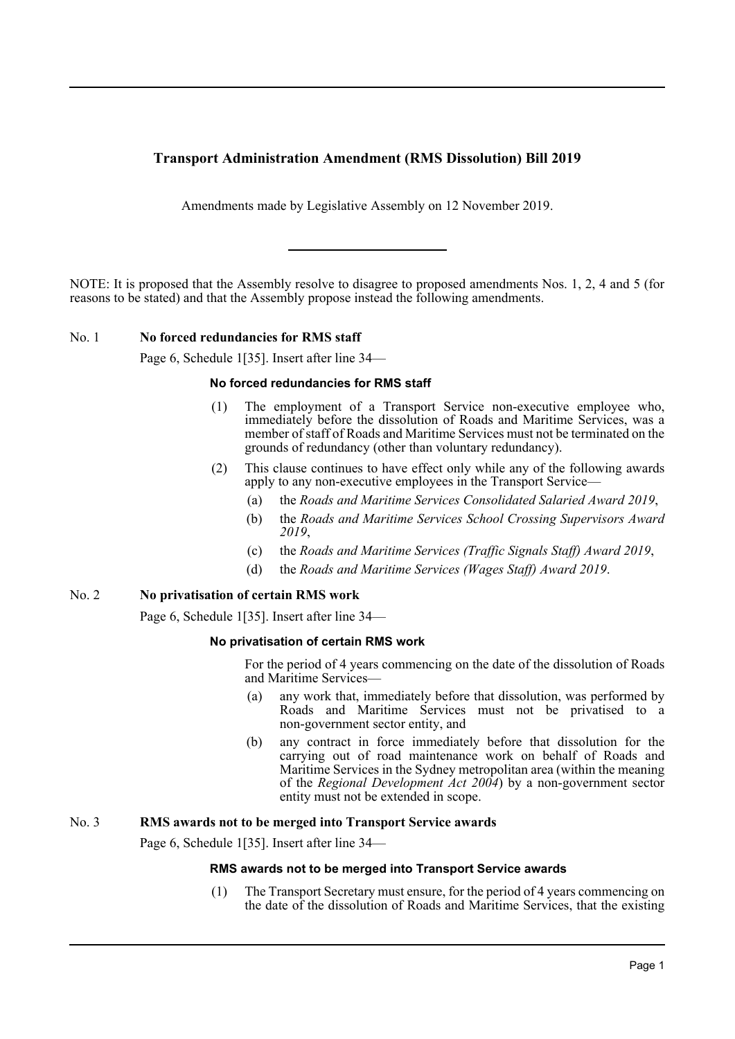# **Transport Administration Amendment (RMS Dissolution) Bill 2019**

Amendments made by Legislative Assembly on 12 November 2019.

NOTE: It is proposed that the Assembly resolve to disagree to proposed amendments Nos. 1, 2, 4 and 5 (for reasons to be stated) and that the Assembly propose instead the following amendments.

## No. 1 **No forced redundancies for RMS staff**

Page 6, Schedule 1[35]. Insert after line 34—

#### **No forced redundancies for RMS staff**

- (1) The employment of a Transport Service non-executive employee who, immediately before the dissolution of Roads and Maritime Services, was a member of staff of Roads and Maritime Services must not be terminated on the grounds of redundancy (other than voluntary redundancy).
- (2) This clause continues to have effect only while any of the following awards apply to any non-executive employees in the Transport Service-
	- (a) the *Roads and Maritime Services Consolidated Salaried Award 2019*,
	- (b) the *Roads and Maritime Services School Crossing Supervisors Award 2019*,
	- (c) the *Roads and Maritime Services (Traffic Signals Staff) Award 2019*,
	- (d) the *Roads and Maritime Services (Wages Staff) Award 2019*.

## No. 2 **No privatisation of certain RMS work**

Page 6, Schedule 1[35]. Insert after line 34—

## **No privatisation of certain RMS work**

For the period of 4 years commencing on the date of the dissolution of Roads and Maritime Services—

- (a) any work that, immediately before that dissolution, was performed by Roads and Maritime Services must not be privatised to a non-government sector entity, and
- (b) any contract in force immediately before that dissolution for the carrying out of road maintenance work on behalf of Roads and Maritime Services in the Sydney metropolitan area (within the meaning of the *Regional Development Act 2004*) by a non-government sector entity must not be extended in scope.

## No. 3 **RMS awards not to be merged into Transport Service awards**

Page 6, Schedule 1[35]. Insert after line 34—

#### **RMS awards not to be merged into Transport Service awards**

(1) The Transport Secretary must ensure, for the period of 4 years commencing on the date of the dissolution of Roads and Maritime Services, that the existing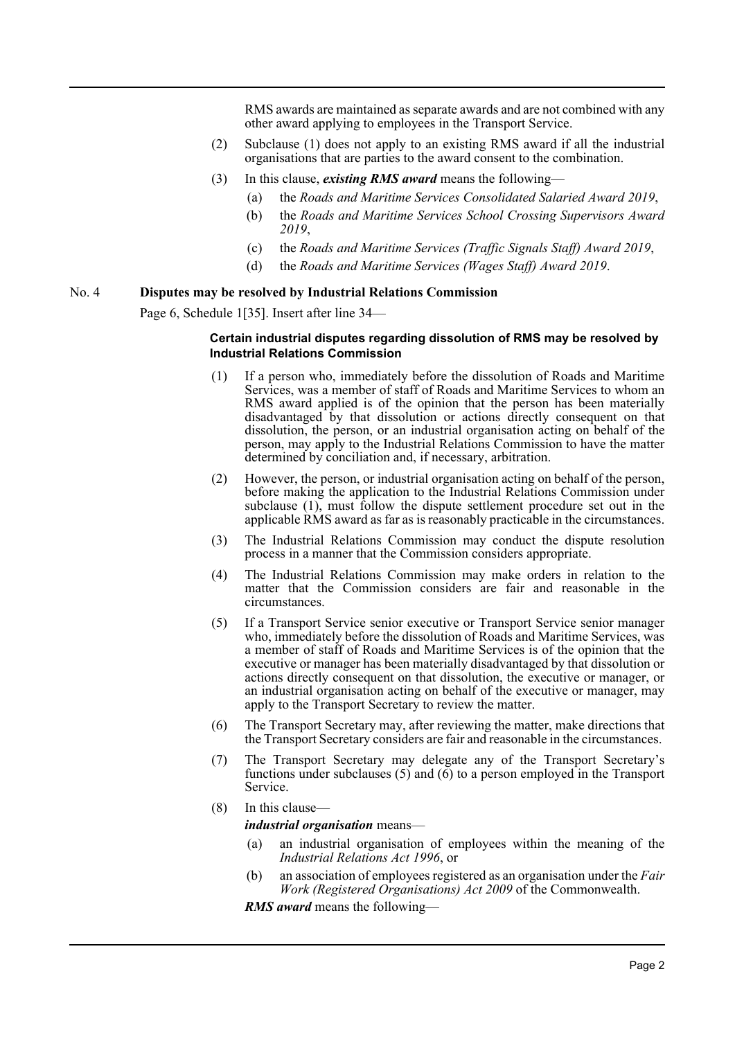RMS awards are maintained as separate awards and are not combined with any other award applying to employees in the Transport Service.

- (2) Subclause (1) does not apply to an existing RMS award if all the industrial organisations that are parties to the award consent to the combination.
- (3) In this clause, *existing RMS award* means the following—
	- (a) the *Roads and Maritime Services Consolidated Salaried Award 2019*,
	- (b) the *Roads and Maritime Services School Crossing Supervisors Award 2019*,
	- (c) the *Roads and Maritime Services (Traffic Signals Staff) Award 2019*,
	- (d) the *Roads and Maritime Services (Wages Staff) Award 2019*.

## No. 4 **Disputes may be resolved by Industrial Relations Commission**

Page 6, Schedule 1[35]. Insert after line 34—

#### **Certain industrial disputes regarding dissolution of RMS may be resolved by Industrial Relations Commission**

- (1) If a person who, immediately before the dissolution of Roads and Maritime Services, was a member of staff of Roads and Maritime Services to whom an RMS award applied is of the opinion that the person has been materially disadvantaged by that dissolution or actions directly consequent on that dissolution, the person, or an industrial organisation acting on behalf of the person, may apply to the Industrial Relations Commission to have the matter determined by conciliation and, if necessary, arbitration.
- (2) However, the person, or industrial organisation acting on behalf of the person, before making the application to the Industrial Relations Commission under subclause  $(1)$ , must follow the dispute settlement procedure set out in the applicable RMS award as far as is reasonably practicable in the circumstances.
- (3) The Industrial Relations Commission may conduct the dispute resolution process in a manner that the Commission considers appropriate.
- (4) The Industrial Relations Commission may make orders in relation to the matter that the Commission considers are fair and reasonable in the circumstances.
- (5) If a Transport Service senior executive or Transport Service senior manager who, immediately before the dissolution of Roads and Maritime Services, was a member of staff of Roads and Maritime Services is of the opinion that the executive or manager has been materially disadvantaged by that dissolution or actions directly consequent on that dissolution, the executive or manager, or an industrial organisation acting on behalf of the executive or manager, may apply to the Transport Secretary to review the matter.
- (6) The Transport Secretary may, after reviewing the matter, make directions that the Transport Secretary considers are fair and reasonable in the circumstances.
- (7) The Transport Secretary may delegate any of the Transport Secretary's functions under subclauses (5) and (6) to a person employed in the Transport Service.
- (8) In this clause—

*industrial organisation* means—

- (a) an industrial organisation of employees within the meaning of the *Industrial Relations Act 1996*, or
- (b) an association of employees registered as an organisation under the *Fair Work (Registered Organisations) Act 2009* of the Commonwealth.

*RMS award* means the following—